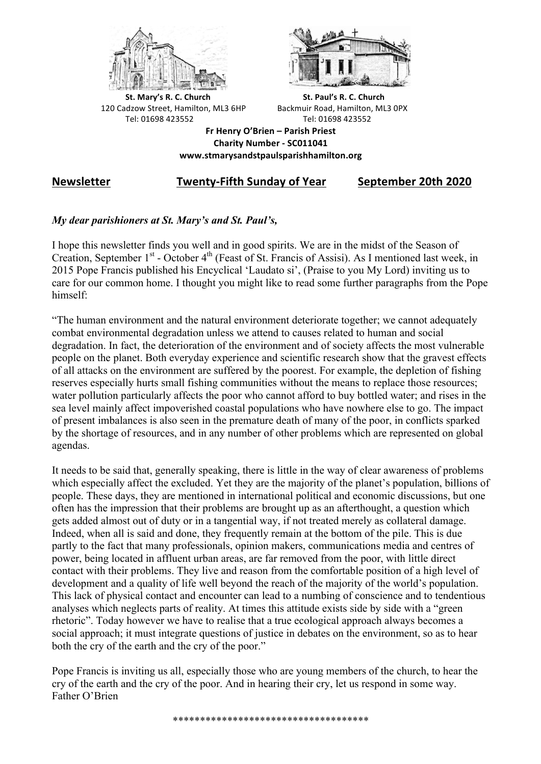



**St.** Mary's R. C. Church St. Paul's R. C. Church 120 Cadzow Street, Hamilton, ML3 6HP Backmuir Road, Hamilton, ML3 0PX Tel: 01698 423552 Tel: 01698 423552

**Fr Henry O'Brien – Parish Priest Charity Number - SC011041 www.stmarysandstpaulsparishhamilton.org**

## **Newsletter Twenty-Fifth Sunday of Year September 20th 2020**

# *My dear parishioners at St. Mary's and St. Paul's,*

I hope this newsletter finds you well and in good spirits. We are in the midst of the Season of Creation, September  $1^{st}$  - October  $4^{th}$  (Feast of St. Francis of Assisi). As I mentioned last week, in 2015 Pope Francis published his Encyclical 'Laudato si', (Praise to you My Lord) inviting us to care for our common home. I thought you might like to read some further paragraphs from the Pope himself:

"The human environment and the natural environment deteriorate together; we cannot adequately combat environmental degradation unless we attend to causes related to human and social degradation. In fact, the deterioration of the environment and of society affects the most vulnerable people on the planet. Both everyday experience and scientific research show that the gravest effects of all attacks on the environment are suffered by the poorest. For example, the depletion of fishing reserves especially hurts small fishing communities without the means to replace those resources; water pollution particularly affects the poor who cannot afford to buy bottled water; and rises in the sea level mainly affect impoverished coastal populations who have nowhere else to go. The impact of present imbalances is also seen in the premature death of many of the poor, in conflicts sparked by the shortage of resources, and in any number of other problems which are represented on global agendas.

It needs to be said that, generally speaking, there is little in the way of clear awareness of problems which especially affect the excluded. Yet they are the majority of the planet's population, billions of people. These days, they are mentioned in international political and economic discussions, but one often has the impression that their problems are brought up as an afterthought, a question which gets added almost out of duty or in a tangential way, if not treated merely as collateral damage. Indeed, when all is said and done, they frequently remain at the bottom of the pile. This is due partly to the fact that many professionals, opinion makers, communications media and centres of power, being located in affluent urban areas, are far removed from the poor, with little direct contact with their problems. They live and reason from the comfortable position of a high level of development and a quality of life well beyond the reach of the majority of the world's population. This lack of physical contact and encounter can lead to a numbing of conscience and to tendentious analyses which neglects parts of reality. At times this attitude exists side by side with a "green rhetoric". Today however we have to realise that a true ecological approach always becomes a social approach; it must integrate questions of justice in debates on the environment, so as to hear both the cry of the earth and the cry of the poor."

Pope Francis is inviting us all, especially those who are young members of the church, to hear the cry of the earth and the cry of the poor. And in hearing their cry, let us respond in some way. Father O'Brien

\*\*\*\*\*\*\*\*\*\*\*\*\*\*\*\*\*\*\*\*\*\*\*\*\*\*\*\*\*\*\*\*\*\*\*\*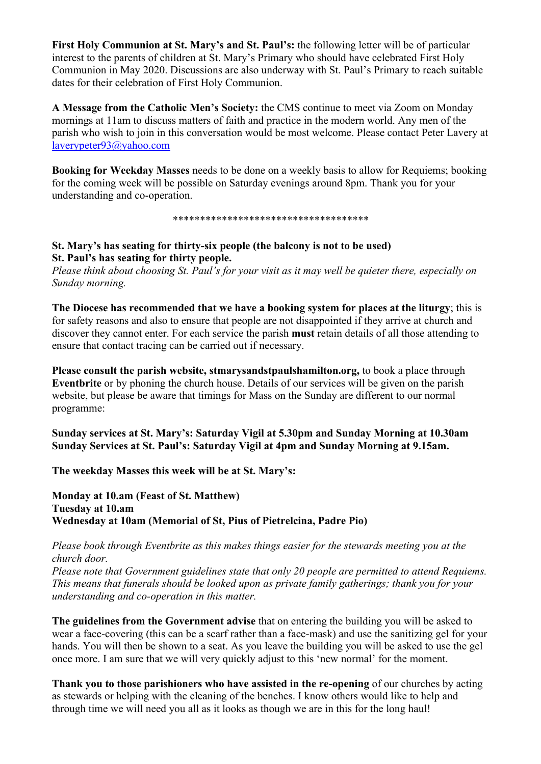**First Holy Communion at St. Mary's and St. Paul's:** the following letter will be of particular interest to the parents of children at St. Mary's Primary who should have celebrated First Holy Communion in May 2020. Discussions are also underway with St. Paul's Primary to reach suitable dates for their celebration of First Holy Communion.

**A Message from the Catholic Men's Society:** the CMS continue to meet via Zoom on Monday mornings at 11am to discuss matters of faith and practice in the modern world. Any men of the parish who wish to join in this conversation would be most welcome. Please contact Peter Lavery at laverypeter93@yahoo.com

**Booking for Weekday Masses** needs to be done on a weekly basis to allow for Requiems; booking for the coming week will be possible on Saturday evenings around 8pm. Thank you for your understanding and co-operation.

\*\*\*\*\*\*\*\*\*\*\*\*\*\*\*\*\*\*\*\*\*\*\*\*\*\*\*\*\*\*\*\*\*\*\*\*

# **St. Mary's has seating for thirty-six people (the balcony is not to be used) St. Paul's has seating for thirty people.**

*Please think about choosing St. Paul's for your visit as it may well be quieter there, especially on Sunday morning.*

**The Diocese has recommended that we have a booking system for places at the liturgy**; this is for safety reasons and also to ensure that people are not disappointed if they arrive at church and discover they cannot enter. For each service the parish **must** retain details of all those attending to ensure that contact tracing can be carried out if necessary.

**Please consult the parish website, stmarysandstpaulshamilton.org,** to book a place through **Eventbrite** or by phoning the church house. Details of our services will be given on the parish website, but please be aware that timings for Mass on the Sunday are different to our normal programme:

**Sunday services at St. Mary's: Saturday Vigil at 5.30pm and Sunday Morning at 10.30am Sunday Services at St. Paul's: Saturday Vigil at 4pm and Sunday Morning at 9.15am.**

**The weekday Masses this week will be at St. Mary's:**

**Monday at 10.am (Feast of St. Matthew) Tuesday at 10.am Wednesday at 10am (Memorial of St, Pius of Pietrelcina, Padre Pio)**

*Please book through Eventbrite as this makes things easier for the stewards meeting you at the church door. Please note that Government guidelines state that only 20 people are permitted to attend Requiems. This means that funerals should be looked upon as private family gatherings; thank you for your* 

*understanding and co-operation in this matter.*

**The guidelines from the Government advise** that on entering the building you will be asked to wear a face-covering (this can be a scarf rather than a face-mask) and use the sanitizing gel for your hands. You will then be shown to a seat. As you leave the building you will be asked to use the gel once more. I am sure that we will very quickly adjust to this 'new normal' for the moment.

**Thank you to those parishioners who have assisted in the re-opening** of our churches by acting as stewards or helping with the cleaning of the benches. I know others would like to help and through time we will need you all as it looks as though we are in this for the long haul!